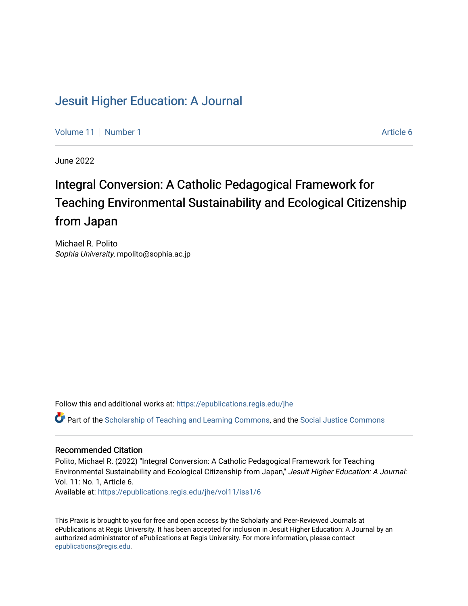# [Jesuit Higher Education: A Journal](https://epublications.regis.edu/jhe)

[Volume 11](https://epublications.regis.edu/jhe/vol11) | [Number 1](https://epublications.regis.edu/jhe/vol11/iss1) Article 6

June 2022

# Integral Conversion: A Catholic Pedagogical Framework for Teaching Environmental Sustainability and Ecological Citizenship from Japan

Michael R. Polito Sophia University, mpolito@sophia.ac.jp

Follow this and additional works at: [https://epublications.regis.edu/jhe](https://epublications.regis.edu/jhe?utm_source=epublications.regis.edu%2Fjhe%2Fvol11%2Fiss1%2F6&utm_medium=PDF&utm_campaign=PDFCoverPages) 

Part of the [Scholarship of Teaching and Learning Commons,](https://network.bepress.com/hgg/discipline/1328?utm_source=epublications.regis.edu%2Fjhe%2Fvol11%2Fiss1%2F6&utm_medium=PDF&utm_campaign=PDFCoverPages) and the [Social Justice Commons](https://network.bepress.com/hgg/discipline/1432?utm_source=epublications.regis.edu%2Fjhe%2Fvol11%2Fiss1%2F6&utm_medium=PDF&utm_campaign=PDFCoverPages) 

#### Recommended Citation

Polito, Michael R. (2022) "Integral Conversion: A Catholic Pedagogical Framework for Teaching Environmental Sustainability and Ecological Citizenship from Japan," Jesuit Higher Education: A Journal: Vol. 11: No. 1, Article 6.

Available at: [https://epublications.regis.edu/jhe/vol11/iss1/6](https://epublications.regis.edu/jhe/vol11/iss1/6?utm_source=epublications.regis.edu%2Fjhe%2Fvol11%2Fiss1%2F6&utm_medium=PDF&utm_campaign=PDFCoverPages)

This Praxis is brought to you for free and open access by the Scholarly and Peer-Reviewed Journals at ePublications at Regis University. It has been accepted for inclusion in Jesuit Higher Education: A Journal by an authorized administrator of ePublications at Regis University. For more information, please contact [epublications@regis.edu.](mailto:epublications@regis.edu)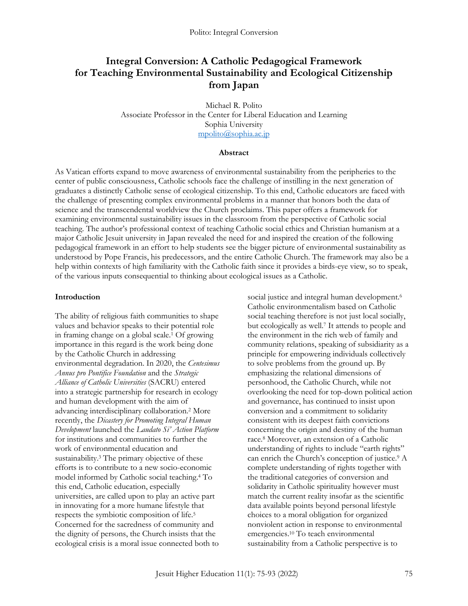## **Integral Conversion: A Catholic Pedagogical Framework for Teaching Environmental Sustainability and Ecological Citizenship from Japan**

Michael R. Polito Associate Professor in the Center for Liberal Education and Learning Sophia University [mpolito@sophia.ac.jp](mailto:mpolito@sophia.ac.jp)

#### **Abstract**

As Vatican efforts expand to move awareness of environmental sustainability from the peripheries to the center of public consciousness, Catholic schools face the challenge of instilling in the next generation of graduates a distinctly Catholic sense of ecological citizenship. To this end, Catholic educators are faced with the challenge of presenting complex environmental problems in a manner that honors both the data of science and the transcendental worldview the Church proclaims. This paper offers a framework for examining environmental sustainability issues in the classroom from the perspective of Catholic social teaching. The author's professional context of teaching Catholic social ethics and Christian humanism at a major Catholic Jesuit university in Japan revealed the need for and inspired the creation of the following pedagogical framework in an effort to help students see the bigger picture of environmental sustainability as understood by Pope Francis, his predecessors, and the entire Catholic Church. The framework may also be a help within contexts of high familiarity with the Catholic faith since it provides a birds-eye view, so to speak, of the various inputs consequential to thinking about ecological issues as a Catholic.

#### **Introduction**

The ability of religious faith communities to shape values and behavior speaks to their potential role in framing change on a global scale.<sup>1</sup> Of growing importance in this regard is the work being done by the Catholic Church in addressing environmental degradation. In 2020, the *Centesimus Annus pro Pontifice Foundation* and the *Strategic Alliance of Catholic Universities* (SACRU) entered into a strategic partnership for research in ecology and human development with the aim of advancing interdisciplinary collaboration.<sup>2</sup> More recently, the *Dicastery for Promoting Integral Human Development* launched the *Laudato Si' Action Platform* for institutions and communities to further the work of environmental education and sustainability.<sup>3</sup> The primary objective of these efforts is to contribute to a new socio-economic model informed by Catholic social teaching.<sup>4</sup> To this end, Catholic education, especially universities, are called upon to play an active part in innovating for a more humane lifestyle that respects the symbiotic composition of life.<sup>5</sup> Concerned for the sacredness of community and the dignity of persons, the Church insists that the ecological crisis is a moral issue connected both to

social justice and integral human development.<sup>6</sup> Catholic environmentalism based on Catholic social teaching therefore is not just local socially, but ecologically as well.<sup>7</sup> It attends to people and the environment in the rich web of family and community relations, speaking of subsidiarity as a principle for empowering individuals collectively to solve problems from the ground up. By emphasizing the relational dimensions of personhood, the Catholic Church, while not overlooking the need for top-down political action and governance, has continued to insist upon conversion and a commitment to solidarity consistent with its deepest faith convictions concerning the origin and destiny of the human race.<sup>8</sup> Moreover, an extension of a Catholic understanding of rights to include "earth rights" can enrich the Church's conception of justice.<sup>9</sup> A complete understanding of rights together with the traditional categories of conversion and solidarity in Catholic spirituality however must match the current reality insofar as the scientific data available points beyond personal lifestyle choices to a moral obligation for organized nonviolent action in response to environmental emergencies.<sup>10</sup> To teach environmental sustainability from a Catholic perspective is to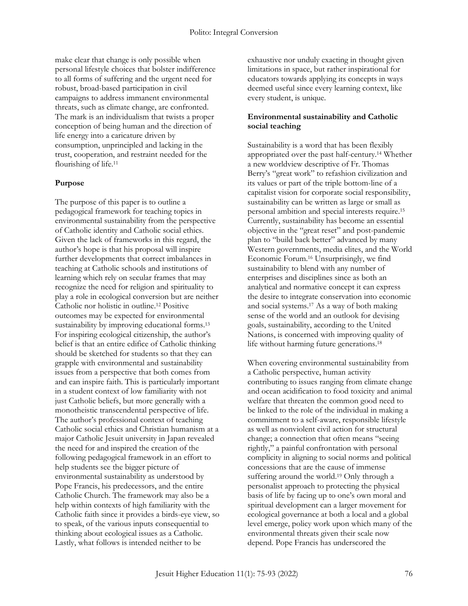make clear that change is only possible when personal lifestyle choices that bolster indifference to all forms of suffering and the urgent need for robust, broad-based participation in civil campaigns to address immanent environmental threats, such as climate change, are confronted. The mark is an individualism that twists a proper conception of being human and the direction of life energy into a caricature driven by consumption, unprincipled and lacking in the trust, cooperation, and restraint needed for the flourishing of life.<sup>11</sup>

#### **Purpose**

The purpose of this paper is to outline a pedagogical framework for teaching topics in environmental sustainability from the perspective of Catholic identity and Catholic social ethics. Given the lack of frameworks in this regard, the author's hope is that his proposal will inspire further developments that correct imbalances in teaching at Catholic schools and institutions of learning which rely on secular frames that may recognize the need for religion and spirituality to play a role in ecological conversion but are neither Catholic nor holistic in outline.<sup>12</sup> Positive outcomes may be expected for environmental sustainability by improving educational forms.<sup>13</sup> For inspiring ecological citizenship, the author's belief is that an entire edifice of Catholic thinking should be sketched for students so that they can grapple with environmental and sustainability issues from a perspective that both comes from and can inspire faith. This is particularly important in a student context of low familiarity with not just Catholic beliefs, but more generally with a monotheistic transcendental perspective of life. The author's professional context of teaching Catholic social ethics and Christian humanism at a major Catholic Jesuit university in Japan revealed the need for and inspired the creation of the following pedagogical framework in an effort to help students see the bigger picture of environmental sustainability as understood by Pope Francis, his predecessors, and the entire Catholic Church. The framework may also be a help within contexts of high familiarity with the Catholic faith since it provides a birds-eye view, so to speak, of the various inputs consequential to thinking about ecological issues as a Catholic. Lastly, what follows is intended neither to be

exhaustive nor unduly exacting in thought given limitations in space, but rather inspirational for educators towards applying its concepts in ways deemed useful since every learning context, like every student, is unique.

#### **Environmental sustainability and Catholic social teaching**

Sustainability is a word that has been flexibly appropriated over the past half-century.<sup>14</sup> Whether a new worldview descriptive of Fr. Thomas Berry's "great work" to refashion civilization and its values or part of the triple bottom-line of a capitalist vision for corporate social responsibility, sustainability can be written as large or small as personal ambition and special interests require.<sup>15</sup> Currently, sustainability has become an essential objective in the "great reset" and post-pandemic plan to "build back better" advanced by many Western governments, media elites, and the World Economic Forum.<sup>16</sup> Unsurprisingly, we find sustainability to blend with any number of enterprises and disciplines since as both an analytical and normative concept it can express the desire to integrate conservation into economic and social systems.<sup>17</sup> As a way of both making sense of the world and an outlook for devising goals, sustainability, according to the United Nations, is concerned with improving quality of life without harming future generations.<sup>18</sup>

When covering environmental sustainability from a Catholic perspective, human activity contributing to issues ranging from climate change and ocean acidification to food toxicity and animal welfare that threaten the common good need to be linked to the role of the individual in making a commitment to a self-aware, responsible lifestyle as well as nonviolent civil action for structural change; a connection that often means "seeing rightly," a painful confrontation with personal complicity in aligning to social norms and political concessions that are the cause of immense suffering around the world.<sup>19</sup> Only through a personalist approach to protecting the physical basis of life by facing up to one's own moral and spiritual development can a larger movement for ecological governance at both a local and a global level emerge, policy work upon which many of the environmental threats given their scale now depend. Pope Francis has underscored the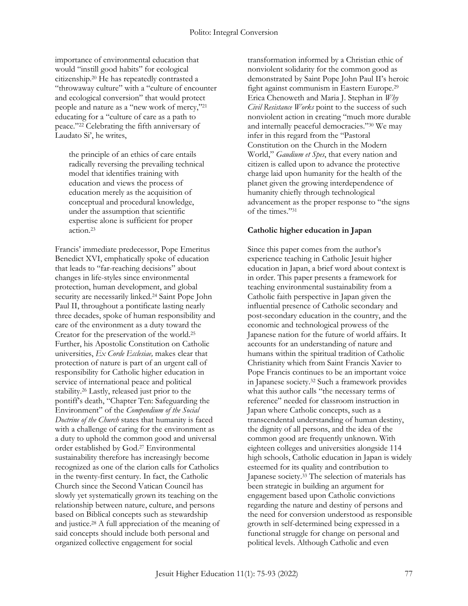importance of environmental education that would "instill good habits" for ecological citizenship.<sup>20</sup> He has repeatedly contrasted a "throwaway culture" with a "culture of encounter and ecological conversion" that would protect people and nature as a "new work of mercy,"<sup>21</sup> educating for a "culture of care as a path to peace."<sup>22</sup> Celebrating the fifth anniversary of Laudato Si', he writes,

the principle of an ethics of care entails radically reversing the prevailing technical model that identifies training with education and views the process of education merely as the acquisition of conceptual and procedural knowledge, under the assumption that scientific expertise alone is sufficient for proper action.<sup>23</sup>

Francis' immediate predecessor, Pope Emeritus Benedict XVI, emphatically spoke of education that leads to "far-reaching decisions" about changes in life-styles since environmental protection, human development, and global security are necessarily linked.<sup>24</sup> Saint Pope John Paul II, throughout a pontificate lasting nearly three decades, spoke of human responsibility and care of the environment as a duty toward the Creator for the preservation of the world.<sup>25</sup> Further, his Apostolic Constitution on Catholic universities, *Ex Corde Ecclesiae,* makes clear that protection of nature is part of an urgent call of responsibility for Catholic higher education in service of international peace and political stability.<sup>26</sup> Lastly, released just prior to the pontiff's death, "Chapter Ten: Safeguarding the Environment" of the *Compendium of the Social Doctrine of the Church* states that humanity is faced with a challenge of caring for the environment as a duty to uphold the common good and universal order established by God.<sup>27</sup> Environmental sustainability therefore has increasingly become recognized as one of the clarion calls for Catholics in the twenty-first century. In fact, the Catholic Church since the Second Vatican Council has slowly yet systematically grown its teaching on the relationship between nature, culture, and persons based on Biblical concepts such as stewardship and justice.<sup>28</sup> A full appreciation of the meaning of said concepts should include both personal and organized collective engagement for social

transformation informed by a Christian ethic of nonviolent solidarity for the common good as demonstrated by Saint Pope John Paul II's heroic fight against communism in Eastern Europe.<sup>29</sup> Erica Chenoweth and Maria J. Stephan in *Why Civil Resistance Works* point to the success of such nonviolent action in creating "much more durable and internally peaceful democracies."<sup>30</sup> We may infer in this regard from the "Pastoral Constitution on the Church in the Modern World," *Gaudium et Spes*, that every nation and citizen is called upon to advance the protective charge laid upon humanity for the health of the planet given the growing interdependence of humanity chiefly through technological advancement as the proper response to "the signs of the times."<sup>31</sup>

### **Catholic higher education in Japan**

Since this paper comes from the author's experience teaching in Catholic Jesuit higher education in Japan, a brief word about context is in order. This paper presents a framework for teaching environmental sustainability from a Catholic faith perspective in Japan given the influential presence of Catholic secondary and post-secondary education in the country, and the economic and technological prowess of the Japanese nation for the future of world affairs. It accounts for an understanding of nature and humans within the spiritual tradition of Catholic Christianity which from Saint Francis Xavier to Pope Francis continues to be an important voice in Japanese society.<sup>32</sup> Such a framework provides what this author calls "the necessary terms of reference" needed for classroom instruction in Japan where Catholic concepts, such as a transcendental understanding of human destiny, the dignity of all persons, and the idea of the common good are frequently unknown. With eighteen colleges and universities alongside 114 high schools, Catholic education in Japan is widely esteemed for its quality and contribution to Japanese society.<sup>33</sup> The selection of materials has been strategic in building an argument for engagement based upon Catholic convictions regarding the nature and destiny of persons and the need for conversion understood as responsible growth in self-determined being expressed in a functional struggle for change on personal and political levels. Although Catholic and even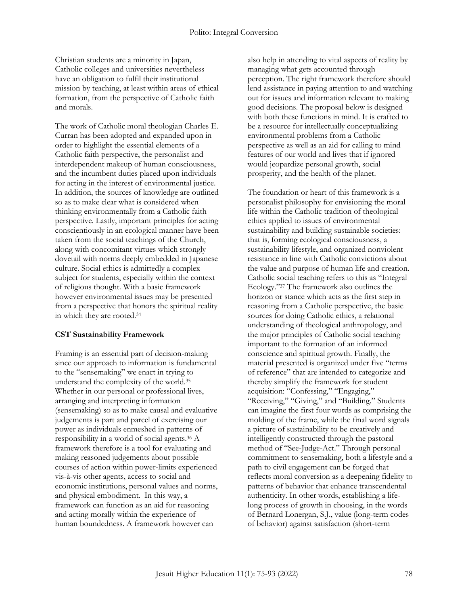Christian students are a minority in Japan, Catholic colleges and universities nevertheless have an obligation to fulfil their institutional mission by teaching, at least within areas of ethical formation, from the perspective of Catholic faith and morals.

The work of Catholic moral theologian Charles E. Curran has been adopted and expanded upon in order to highlight the essential elements of a Catholic faith perspective, the personalist and interdependent makeup of human consciousness, and the incumbent duties placed upon individuals for acting in the interest of environmental justice. In addition, the sources of knowledge are outlined so as to make clear what is considered when thinking environmentally from a Catholic faith perspective. Lastly, important principles for acting conscientiously in an ecological manner have been taken from the social teachings of the Church, along with concomitant virtues which strongly dovetail with norms deeply embedded in Japanese culture. Social ethics is admittedly a complex subject for students, especially within the context of religious thought. With a basic framework however environmental issues may be presented from a perspective that honors the spiritual reality in which they are rooted.<sup>34</sup>

#### **CST Sustainability Framework**

Framing is an essential part of decision-making since our approach to information is fundamental to the "sensemaking" we enact in trying to understand the complexity of the world.<sup>35</sup> Whether in our personal or professional lives, arranging and interpreting information (sensemaking) so as to make causal and evaluative judgements is part and parcel of exercising our power as individuals enmeshed in patterns of responsibility in a world of social agents.<sup>36</sup> A framework therefore is a tool for evaluating and making reasoned judgements about possible courses of action within power-limits experienced vis-à-vis other agents, access to social and economic institutions, personal values and norms, and physical embodiment. In this way, a framework can function as an aid for reasoning and acting morally within the experience of human boundedness. A framework however can

also help in attending to vital aspects of reality by managing what gets accounted through perception. The right framework therefore should lend assistance in paying attention to and watching out for issues and information relevant to making good decisions. The proposal below is designed with both these functions in mind. It is crafted to be a resource for intellectually conceptualizing environmental problems from a Catholic perspective as well as an aid for calling to mind features of our world and lives that if ignored would jeopardize personal growth, social prosperity, and the health of the planet.

The foundation or heart of this framework is a personalist philosophy for envisioning the moral life within the Catholic tradition of theological ethics applied to issues of environmental sustainability and building sustainable societies: that is, forming ecological consciousness, a sustainability lifestyle, and organized nonviolent resistance in line with Catholic convictions about the value and purpose of human life and creation. Catholic social teaching refers to this as "Integral Ecology."<sup>37</sup> The framework also outlines the horizon or stance which acts as the first step in reasoning from a Catholic perspective, the basic sources for doing Catholic ethics, a relational understanding of theological anthropology, and the major principles of Catholic social teaching important to the formation of an informed conscience and spiritual growth. Finally, the material presented is organized under five "terms of reference" that are intended to categorize and thereby simplify the framework for student acquisition: "Confessing," "Engaging," "Receiving," "Giving," and "Building." Students can imagine the first four words as comprising the molding of the frame, while the final word signals a picture of sustainability to be creatively and intelligently constructed through the pastoral method of "See-Judge-Act." Through personal commitment to sensemaking, both a lifestyle and a path to civil engagement can be forged that reflects moral conversion as a deepening fidelity to patterns of behavior that enhance transcendental authenticity. In other words, establishing a lifelong process of growth in choosing, in the words of Bernard Lonergan, S.J., value (long-term codes of behavior) against satisfaction (short-term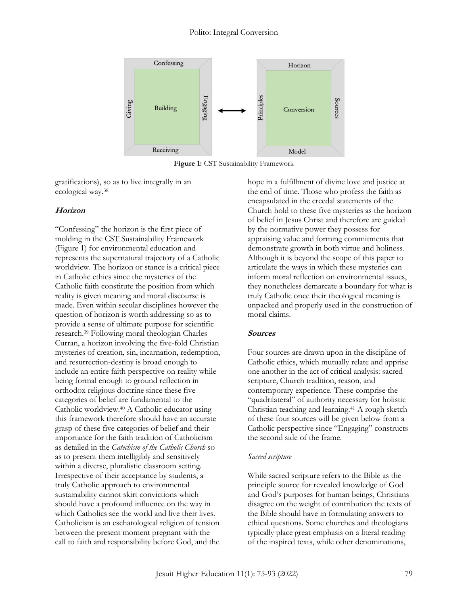

**Figure 1:** CST Sustainability Framework

gratifications), so as to live integrally in an ecological way.<sup>38</sup>

#### **Horizon**

"Confessing" the horizon is the first piece of molding in the CST Sustainability Framework (Figure 1) for environmental education and represents the supernatural trajectory of a Catholic worldview. The horizon or stance is a critical piece in Catholic ethics since the mysteries of the Catholic faith constitute the position from which reality is given meaning and moral discourse is made. Even within secular disciplines however the question of horizon is worth addressing so as to provide a sense of ultimate purpose for scientific research.<sup>39</sup> Following moral theologian Charles Curran, a horizon involving the five-fold Christian mysteries of creation, sin, incarnation, redemption, and resurrection-destiny is broad enough to include an entire faith perspective on reality while being formal enough to ground reflection in orthodox religious doctrine since these five categories of belief are fundamental to the Catholic worldview.<sup>40</sup> A Catholic educator using this framework therefore should have an accurate grasp of these five categories of belief and their importance for the faith tradition of Catholicism as detailed in the *Catechism of the Catholic Church* so as to present them intelligibly and sensitively within a diverse, pluralistic classroom setting. Irrespective of their acceptance by students, a truly Catholic approach to environmental sustainability cannot skirt convictions which should have a profound influence on the way in which Catholics see the world and live their lives. Catholicism is an eschatological religion of tension between the present moment pregnant with the call to faith and responsibility before God, and the

hope in a fulfillment of divine love and justice at the end of time. Those who profess the faith as encapsulated in the creedal statements of the Church hold to these five mysteries as the horizon of belief in Jesus Christ and therefore are guided by the normative power they possess for appraising value and forming commitments that demonstrate growth in both virtue and holiness. Although it is beyond the scope of this paper to articulate the ways in which these mysteries can inform moral reflection on environmental issues, they nonetheless demarcate a boundary for what is truly Catholic once their theological meaning is unpacked and properly used in the construction of moral claims.

#### **Sources**

Four sources are drawn upon in the discipline of Catholic ethics, which mutually relate and apprise one another in the act of critical analysis: sacred scripture, Church tradition, reason, and contemporary experience. These comprise the "quadrilateral" of authority necessary for holistic Christian teaching and learning.<sup>41</sup> A rough sketch of these four sources will be given below from a Catholic perspective since "Engaging" constructs the second side of the frame.

#### *Sacred scripture*

While sacred scripture refers to the Bible as the principle source for revealed knowledge of God and God's purposes for human beings, Christians disagree on the weight of contribution the texts of the Bible should have in formulating answers to ethical questions. Some churches and theologians typically place great emphasis on a literal reading of the inspired texts, while other denominations,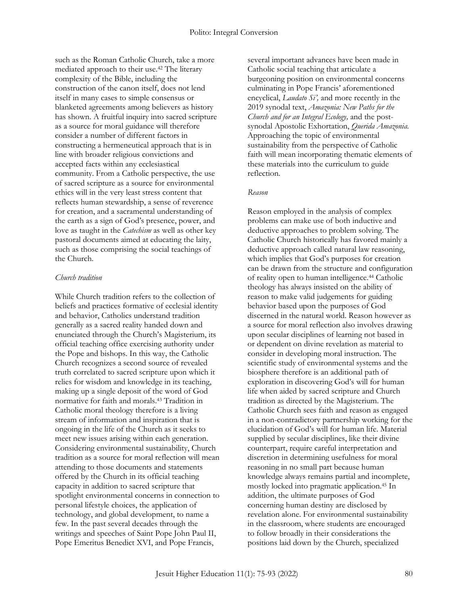such as the Roman Catholic Church, take a more mediated approach to their use.<sup>42</sup> The literary complexity of the Bible, including the construction of the canon itself, does not lend itself in many cases to simple consensus or blanketed agreements among believers as history has shown. A fruitful inquiry into sacred scripture as a source for moral guidance will therefore consider a number of different factors in constructing a hermeneutical approach that is in line with broader religious convictions and accepted facts within any ecclesiastical community. From a Catholic perspective, the use of sacred scripture as a source for environmental ethics will in the very least stress content that reflects human stewardship, a sense of reverence for creation, and a sacramental understanding of the earth as a sign of God's presence, power, and love as taught in the *Catechism* as well as other key pastoral documents aimed at educating the laity, such as those comprising the social teachings of the Church.

#### *Church tradition*

While Church tradition refers to the collection of beliefs and practices formative of ecclesial identity and behavior, Catholics understand tradition generally as a sacred reality handed down and enunciated through the Church's Magisterium, its official teaching office exercising authority under the Pope and bishops. In this way, the Catholic Church recognizes a second source of revealed truth correlated to sacred scripture upon which it relies for wisdom and knowledge in its teaching, making up a single deposit of the word of God normative for faith and morals.<sup>43</sup> Tradition in Catholic moral theology therefore is a living stream of information and inspiration that is ongoing in the life of the Church as it seeks to meet new issues arising within each generation. Considering environmental sustainability, Church tradition as a source for moral reflection will mean attending to those documents and statements offered by the Church in its official teaching capacity in addition to sacred scripture that spotlight environmental concerns in connection to personal lifestyle choices, the application of technology, and global development, to name a few. In the past several decades through the writings and speeches of Saint Pope John Paul II, Pope Emeritus Benedict XVI, and Pope Francis,

several important advances have been made in Catholic social teaching that articulate a burgeoning position on environmental concerns culminating in Pope Francis' aforementioned encyclical, *Laudato Si',* and more recently in the 2019 synodal text, *Amazonia: New Paths for the Church and for an Integral Ecology,* and the postsynodal Apostolic Exhortation, *Querida Amazonia.* Approaching the topic of environmental sustainability from the perspective of Catholic faith will mean incorporating thematic elements of these materials into the curriculum to guide reflection.

#### *Reason*

Reason employed in the analysis of complex problems can make use of both inductive and deductive approaches to problem solving. The Catholic Church historically has favored mainly a deductive approach called natural law reasoning, which implies that God's purposes for creation can be drawn from the structure and configuration of reality open to human intelligence.<sup>44</sup> Catholic theology has always insisted on the ability of reason to make valid judgements for guiding behavior based upon the purposes of God discerned in the natural world. Reason however as a source for moral reflection also involves drawing upon secular disciplines of learning not based in or dependent on divine revelation as material to consider in developing moral instruction. The scientific study of environmental systems and the biosphere therefore is an additional path of exploration in discovering God's will for human life when aided by sacred scripture and Church tradition as directed by the Magisterium. The Catholic Church sees faith and reason as engaged in a non-contradictory partnership working for the elucidation of God's will for human life. Material supplied by secular disciplines, like their divine counterpart, require careful interpretation and discretion in determining usefulness for moral reasoning in no small part because human knowledge always remains partial and incomplete, mostly locked into pragmatic application.<sup>45</sup> In addition, the ultimate purposes of God concerning human destiny are disclosed by revelation alone. For environmental sustainability in the classroom, where students are encouraged to follow broadly in their considerations the positions laid down by the Church, specialized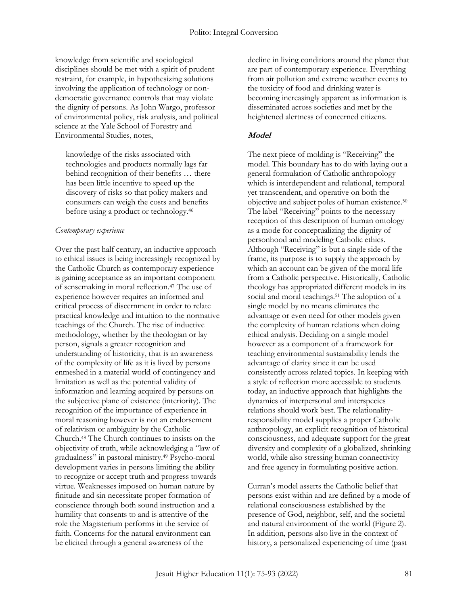knowledge from scientific and sociological disciplines should be met with a spirit of prudent restraint, for example, in hypothesizing solutions involving the application of technology or nondemocratic governance controls that may violate the dignity of persons. As John Wargo, professor of environmental policy, risk analysis, and political science at the Yale School of Forestry and Environmental Studies, notes,

knowledge of the risks associated with technologies and products normally lags far behind recognition of their benefits … there has been little incentive to speed up the discovery of risks so that policy makers and consumers can weigh the costs and benefits before using a product or technology.<sup>46</sup>

#### *Contemporary experience*

Over the past half century, an inductive approach to ethical issues is being increasingly recognized by the Catholic Church as contemporary experience is gaining acceptance as an important component of sensemaking in moral reflection.<sup>47</sup> The use of experience however requires an informed and critical process of discernment in order to relate practical knowledge and intuition to the normative teachings of the Church. The rise of inductive methodology, whether by the theologian or lay person, signals a greater recognition and understanding of historicity, that is an awareness of the complexity of life as it is lived by persons enmeshed in a material world of contingency and limitation as well as the potential validity of information and learning acquired by persons on the subjective plane of existence (interiority). The recognition of the importance of experience in moral reasoning however is not an endorsement of relativism or ambiguity by the Catholic Church.<sup>48</sup> The Church continues to insists on the objectivity of truth, while acknowledging a "law of gradualness" in pastoral ministry.<sup>49</sup> Psycho-moral development varies in persons limiting the ability to recognize or accept truth and progress towards virtue. Weaknesses imposed on human nature by finitude and sin necessitate proper formation of conscience through both sound instruction and a humility that consents to and is attentive of the role the Magisterium performs in the service of faith. Concerns for the natural environment can be elicited through a general awareness of the

decline in living conditions around the planet that are part of contemporary experience. Everything from air pollution and extreme weather events to the toxicity of food and drinking water is becoming increasingly apparent as information is disseminated across societies and met by the heightened alertness of concerned citizens.

#### **Model**

The next piece of molding is "Receiving" the model. This boundary has to do with laying out a general formulation of Catholic anthropology which is interdependent and relational, temporal yet transcendent, and operative on both the objective and subject poles of human existence.<sup>50</sup> The label "Receiving" points to the necessary reception of this description of human ontology as a mode for conceptualizing the dignity of personhood and modeling Catholic ethics. Although "Receiving" is but a single side of the frame, its purpose is to supply the approach by which an account can be given of the moral life from a Catholic perspective. Historically, Catholic theology has appropriated different models in its social and moral teachings.<sup>51</sup> The adoption of a single model by no means eliminates the advantage or even need for other models given the complexity of human relations when doing ethical analysis. Deciding on a single model however as a component of a framework for teaching environmental sustainability lends the advantage of clarity since it can be used consistently across related topics. In keeping with a style of reflection more accessible to students today, an inductive approach that highlights the dynamics of interpersonal and interspecies relations should work best. The relationalityresponsibility model supplies a proper Catholic anthropology, an explicit recognition of historical consciousness, and adequate support for the great diversity and complexity of a globalized, shrinking world, while also stressing human connectivity and free agency in formulating positive action.

Curran's model asserts the Catholic belief that persons exist within and are defined by a mode of relational consciousness established by the presence of God, neighbor, self, and the societal and natural environment of the world (Figure 2). In addition, persons also live in the context of history, a personalized experiencing of time (past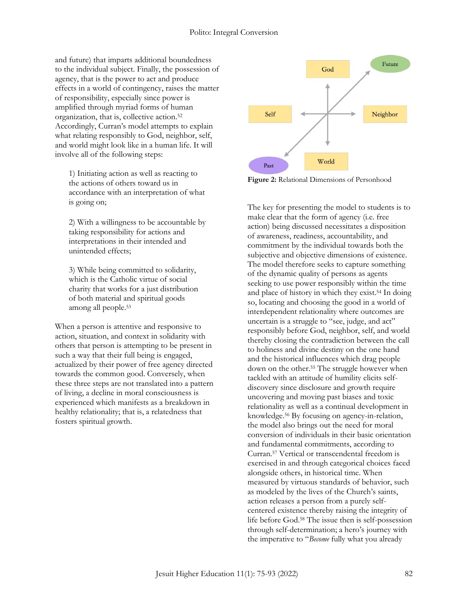and future) that imparts additional boundedness to the individual subject. Finally, the possession of agency, that is the power to act and produce effects in a world of contingency, raises the matter of responsibility, especially since power is amplified through myriad forms of human organization, that is, collective action.<sup>52</sup> Accordingly, Curran's model attempts to explain what relating responsibly to God, neighbor, self, and world might look like in a human life. It will involve all of the following steps:

1) Initiating action as well as reacting to the actions of others toward us in accordance with an interpretation of what is going on;

2) With a willingness to be accountable by taking responsibility for actions and interpretations in their intended and unintended effects;

3) While being committed to solidarity, which is the Catholic virtue of social charity that works for a just distribution of both material and spiritual goods among all people.<sup>53</sup>

When a person is attentive and responsive to action, situation, and context in solidarity with others that person is attempting to be present in such a way that their full being is engaged, actualized by their power of free agency directed towards the common good. Conversely, when these three steps are not translated into a pattern of living, a decline in moral consciousness is experienced which manifests as a breakdown in healthy relationality; that is, a relatedness that fosters spiritual growth.



**Figure 2:** Relational Dimensions of Personhood

The key for presenting the model to students is to make clear that the form of agency (i.e. free action) being discussed necessitates a disposition of awareness, readiness, accountability, and commitment by the individual towards both the subjective and objective dimensions of existence. The model therefore seeks to capture something of the dynamic quality of persons as agents seeking to use power responsibly within the time and place of history in which they exist.<sup>54</sup> In doing so, locating and choosing the good in a world of interdependent relationality where outcomes are uncertain is a struggle to "see, judge, and act" responsibly before God, neighbor, self, and world thereby closing the contradiction between the call to holiness and divine destiny on the one hand and the historical influences which drag people down on the other.<sup>55</sup> The struggle however when tackled with an attitude of humility elicits selfdiscovery since disclosure and growth require uncovering and moving past biases and toxic relationality as well as a continual development in knowledge.<sup>56</sup> By focusing on agency-in-relation, the model also brings out the need for moral conversion of individuals in their basic orientation and fundamental commitments, according to Curran.<sup>57</sup> Vertical or transcendental freedom is exercised in and through categorical choices faced alongside others, in historical time. When measured by virtuous standards of behavior, such as modeled by the lives of the Church's saints, action releases a person from a purely selfcentered existence thereby raising the integrity of life before God.<sup>58</sup> The issue then is self-possession through self-determination; a hero's journey with the imperative to "*Become* fully what you already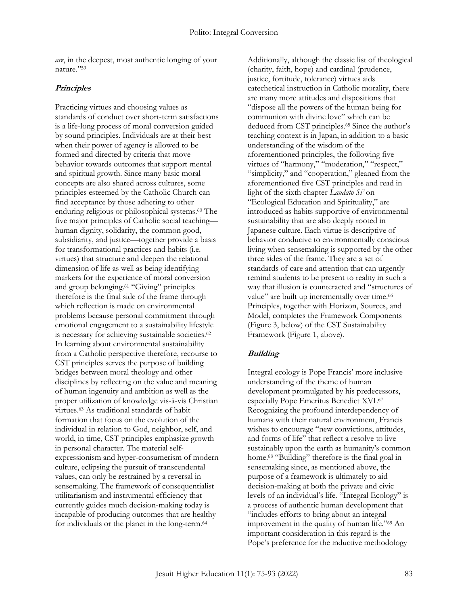*are*, in the deepest, most authentic longing of your nature."<sup>59</sup>

#### **Principles**

Practicing virtues and choosing values as standards of conduct over short-term satisfactions is a life-long process of moral conversion guided by sound principles. Individuals are at their best when their power of agency is allowed to be formed and directed by criteria that move behavior towards outcomes that support mental and spiritual growth. Since many basic moral concepts are also shared across cultures, some principles esteemed by the Catholic Church can find acceptance by those adhering to other enduring religious or philosophical systems.<sup>60</sup> The five major principles of Catholic social teaching human dignity, solidarity, the common good, subsidiarity, and justice—together provide a basis for transformational practices and habits (i.e. virtues) that structure and deepen the relational dimension of life as well as being identifying markers for the experience of moral conversion and group belonging.<sup>61</sup> "Giving" principles therefore is the final side of the frame through which reflection is made on environmental problems because personal commitment through emotional engagement to a sustainability lifestyle is necessary for achieving sustainable societies.<sup>62</sup> In learning about environmental sustainability from a Catholic perspective therefore, recourse to CST principles serves the purpose of building bridges between moral theology and other disciplines by reflecting on the value and meaning of human ingenuity and ambition as well as the proper utilization of knowledge vis-à-vis Christian virtues.<sup>63</sup> As traditional standards of habit formation that focus on the evolution of the individual in relation to God, neighbor, self, and world, in time, CST principles emphasize growth in personal character. The material selfexpressionism and hyper-consumerism of modern culture, eclipsing the pursuit of transcendental values, can only be restrained by a reversal in sensemaking. The framework of consequentialist utilitarianism and instrumental efficiency that currently guides much decision-making today is incapable of producing outcomes that are healthy for individuals or the planet in the long-term.<sup>64</sup>

Additionally, although the classic list of theological (charity, faith, hope) and cardinal (prudence, justice, fortitude, tolerance) virtues aids catechetical instruction in Catholic morality, there are many more attitudes and dispositions that "dispose all the powers of the human being for communion with divine love" which can be deduced from CST principles.<sup>65</sup> Since the author's teaching context is in Japan, in addition to a basic understanding of the wisdom of the aforementioned principles, the following five virtues of "harmony," "moderation," "respect," "simplicity," and "cooperation," gleaned from the aforementioned five CST principles and read in light of the sixth chapter *Laudato Si'* on "Ecological Education and Spirituality," are introduced as habits supportive of environmental sustainability that are also deeply rooted in Japanese culture. Each virtue is descriptive of behavior conducive to environmentally conscious living when sensemaking is supported by the other three sides of the frame. They are a set of standards of care and attention that can urgently remind students to be present to reality in such a way that illusion is counteracted and "structures of value" are built up incrementally over time.<sup>66</sup> Principles, together with Horizon, Sources, and Model, completes the Framework Components (Figure 3, below) of the CST Sustainability Framework (Figure 1, above).

## **Building**

Integral ecology is Pope Francis' more inclusive understanding of the theme of human development promulgated by his predecessors, especially Pope Emeritus Benedict XVI.<sup>67</sup> Recognizing the profound interdependency of humans with their natural environment, Francis wishes to encourage "new convictions, attitudes, and forms of life" that reflect a resolve to live sustainably upon the earth as humanity's common home.<sup>68</sup> "Building" therefore is the final goal in sensemaking since, as mentioned above, the purpose of a framework is ultimately to aid decision-making at both the private and civic levels of an individual's life. "Integral Ecology" is a process of authentic human development that "includes efforts to bring about an integral improvement in the quality of human life."<sup>69</sup> An important consideration in this regard is the Pope's preference for the inductive methodology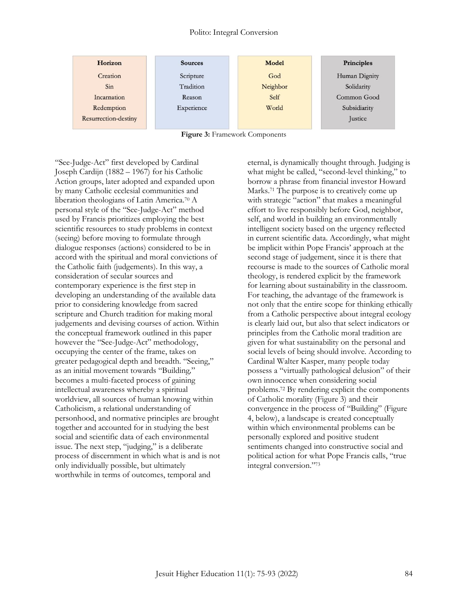#### Polito: Integral Conversion

| Horizon              | <b>Sources</b> | Model    | Principles    |
|----------------------|----------------|----------|---------------|
| Creation             | Scripture      | God      | Human Dignity |
| Sin                  | Tradition      | Neighbor | Solidarity    |
| Incarnation          | Reason         | Self     | Common Good   |
| Redemption           | Experience     | World    | Subsidiarity  |
| Resurrection-destiny |                |          | Justice       |
|                      |                |          |               |

|  |  |  | Figure 3: Framework Components |
|--|--|--|--------------------------------|
|--|--|--|--------------------------------|

"See-Judge-Act" first developed by Cardinal Joseph Cardijn (1882 – 1967) for his Catholic Action groups, later adopted and expanded upon by many Catholic ecclesial communities and liberation theologians of Latin America.<sup>70</sup> A personal style of the "See-Judge-Act" method used by Francis prioritizes employing the best scientific resources to study problems in context (seeing) before moving to formulate through dialogue responses (actions) considered to be in accord with the spiritual and moral convictions of the Catholic faith (judgements). In this way, a consideration of secular sources and contemporary experience is the first step in developing an understanding of the available data prior to considering knowledge from sacred scripture and Church tradition for making moral judgements and devising courses of action. Within the conceptual framework outlined in this paper however the "See-Judge-Act" methodology, occupying the center of the frame, takes on greater pedagogical depth and breadth. "Seeing," as an initial movement towards "Building*,*" becomes a multi-faceted process of gaining intellectual awareness whereby a spiritual worldview, all sources of human knowing within Catholicism, a relational understanding of personhood, and normative principles are brought together and accounted for in studying the best social and scientific data of each environmental issue. The next step, "judging," is a deliberate process of discernment in which what is and is not only individually possible, but ultimately worthwhile in terms of outcomes, temporal and

eternal, is dynamically thought through. Judging is what might be called, "second-level thinking," to borrow a phrase from financial investor Howard Marks.<sup>71</sup> The purpose is to creatively come up with strategic "action" that makes a meaningful effort to live responsibly before God, neighbor, self, and world in building an environmentally intelligent society based on the urgency reflected in current scientific data. Accordingly, what might be implicit within Pope Francis' approach at the second stage of judgement, since it is there that recourse is made to the sources of Catholic moral theology, is rendered explicit by the framework for learning about sustainability in the classroom. For teaching, the advantage of the framework is not only that the entire scope for thinking ethically from a Catholic perspective about integral ecology is clearly laid out, but also that select indicators or principles from the Catholic moral tradition are given for what sustainability on the personal and social levels of being should involve. According to Cardinal Walter Kasper, many people today possess a "virtually pathological delusion" of their own innocence when considering social problems.<sup>72</sup> By rendering explicit the components of Catholic morality (Figure 3) and their convergence in the process of "Building" (Figure 4, below), a landscape is created conceptually within which environmental problems can be personally explored and positive student sentiments changed into constructive social and political action for what Pope Francis calls, "true integral conversion."73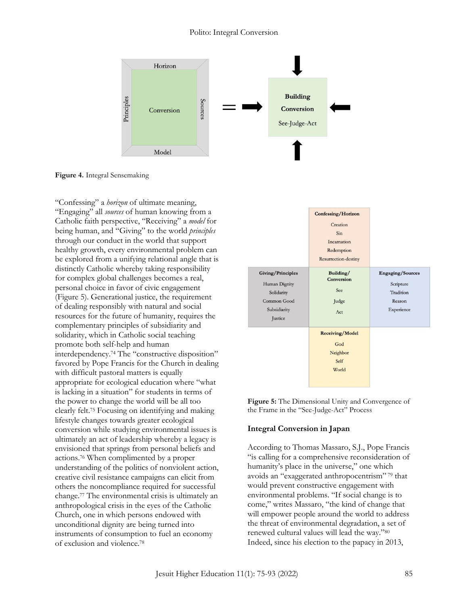#### Polito: Integral Conversion



**Figure 4.** Integral Sensemaking

"Confessing" a *horizon* of ultimate meaning, "Engaging" all *sources* of human knowing from a Catholic faith perspective, "Receiving" a *model* for being human, and "Giving" to the world *principles* through our conduct in the world that support healthy growth, every environmental problem can be explored from a unifying relational angle that is distinctly Catholic whereby taking responsibility for complex global challenges becomes a real, personal choice in favor of civic engagement (Figure 5). Generational justice, the requirement of dealing responsibly with natural and social resources for the future of humanity, requires the complementary principles of subsidiarity and solidarity, which in Catholic social teaching promote both self-help and human interdependency.<sup>74</sup> The "constructive disposition" favored by Pope Francis for the Church in dealing with difficult pastoral matters is equally appropriate for ecological education where "what is lacking in a situation" for students in terms of the power to change the world will be all too clearly felt.<sup>75</sup> Focusing on identifying and making lifestyle changes towards greater ecological conversion while studying environmental issues is ultimately an act of leadership whereby a legacy is envisioned that springs from personal beliefs and actions.<sup>76</sup> When complimented by a proper understanding of the politics of nonviolent action, creative civil resistance campaigns can elicit from others the noncompliance required for successful change.<sup>77</sup> The environmental crisis is ultimately an anthropological crisis in the eyes of the Catholic Church, one in which persons endowed with unconditional dignity are being turned into instruments of consumption to fuel an economy of exclusion and violence.<sup>78</sup>

|                                                                                                   | Confessing/Horizon<br>Creation<br>Sin<br>Incarnation<br>Redemption<br>Resurrection-destiny |                                                                           |
|---------------------------------------------------------------------------------------------------|--------------------------------------------------------------------------------------------|---------------------------------------------------------------------------|
| <b>Giving/Principles</b><br>Human Dignity<br>Solidarity<br>Common Good<br>Subsidiarity<br>Justice | Building/<br>Conversion<br>See<br>Judge<br>Act                                             | <b>Engaging/Sources</b><br>Scripture<br>Tradition<br>Reason<br>Experience |
|                                                                                                   | <b>Receiving/Model</b><br>God<br>Neighbor<br>Self<br>World                                 |                                                                           |

**Figure 5:** The Dimensional Unity and Convergence of the Frame in the "See-Judge-Act" Process

#### **Integral Conversion in Japan**

According to Thomas Massaro, S.J., Pope Francis "is calling for a comprehensive reconsideration of humanity's place in the universe," one which avoids an "exaggerated anthropocentrism" <sup>79</sup> that would prevent constructive engagement with environmental problems. "If social change is to come," writes Massaro, "the kind of change that will empower people around the world to address the threat of environmental degradation, a set of renewed cultural values will lead the way."<sup>80</sup> Indeed, since his election to the papacy in 2013,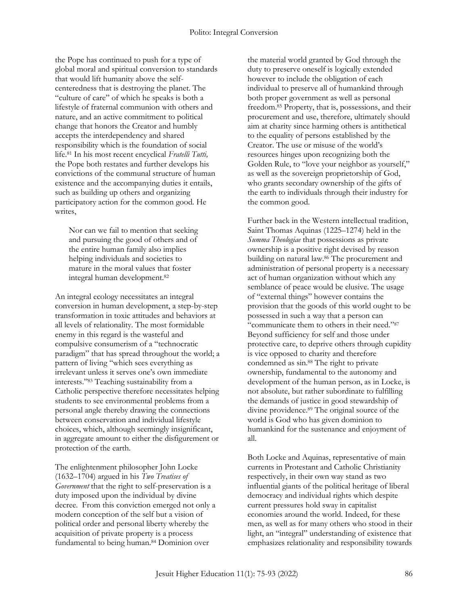the Pope has continued to push for a type of global moral and spiritual conversion to standards that would lift humanity above the selfcenteredness that is destroying the planet. The "culture of care" of which he speaks is both a lifestyle of fraternal communion with others and nature, and an active commitment to political change that honors the Creator and humbly accepts the interdependency and shared responsibility which is the foundation of social life.<sup>81</sup> In his most recent encyclical *Fratelli Tutti,*  the Pope both restates and further develops his convictions of the communal structure of human existence and the accompanying duties it entails, such as building up others and organizing participatory action for the common good. He writes,

Nor can we fail to mention that seeking and pursuing the good of others and of the entire human family also implies helping individuals and societies to mature in the moral values that foster integral human development.<sup>82</sup>

An integral ecology necessitates an integral conversion in human development, a step-by-step transformation in toxic attitudes and behaviors at all levels of relationality. The most formidable enemy in this regard is the wasteful and compulsive consumerism of a "technocratic paradigm" that has spread throughout the world; a pattern of living "which sees everything as irrelevant unless it serves one's own immediate interests."<sup>83</sup> Teaching sustainability from a Catholic perspective therefore necessitates helping students to see environmental problems from a personal angle thereby drawing the connections between conservation and individual lifestyle choices, which, although seemingly insignificant, in aggregate amount to either the disfigurement or protection of the earth.

The enlightenment philosopher John Locke (1632–1704) argued in his *Two Treatises of Government* that the right to self-preservation is a duty imposed upon the individual by divine decree. From this conviction emerged not only a modern conception of the self but a vision of political order and personal liberty whereby the acquisition of private property is a process fundamental to being human.<sup>84</sup> Dominion over

the material world granted by God through the duty to preserve oneself is logically extended however to include the obligation of each individual to preserve all of humankind through both proper government as well as personal freedom.<sup>85</sup> Property, that is, possessions, and their procurement and use, therefore, ultimately should aim at charity since harming others is antithetical to the equality of persons established by the Creator. The use or misuse of the world's resources hinges upon recognizing both the Golden Rule, to "love your neighbor as yourself," as well as the sovereign proprietorship of God, who grants secondary ownership of the gifts of the earth to individuals through their industry for the common good.

Further back in the Western intellectual tradition, Saint Thomas Aquinas (1225–1274) held in the *Summa Theologiae* that possessions as private ownership is a positive right devised by reason building on natural law.<sup>86</sup> The procurement and administration of personal property is a necessary act of human organization without which any semblance of peace would be elusive. The usage of "external things" however contains the provision that the goods of this world ought to be possessed in such a way that a person can "communicate them to others in their need."<sup>87</sup> Beyond sufficiency for self and those under protective care, to deprive others through cupidity is vice opposed to charity and therefore condemned as sin.<sup>88</sup> The right to private ownership, fundamental to the autonomy and development of the human person, as in Locke, is not absolute, but rather subordinate to fulfilling the demands of justice in good stewardship of divine providence.<sup>89</sup> The original source of the world is God who has given dominion to humankind for the sustenance and enjoyment of all.

Both Locke and Aquinas, representative of main currents in Protestant and Catholic Christianity respectively, in their own way stand as two influential giants of the political heritage of liberal democracy and individual rights which despite current pressures hold sway in capitalist economies around the world. Indeed, for these men, as well as for many others who stood in their light, an "integral" understanding of existence that emphasizes relationality and responsibility towards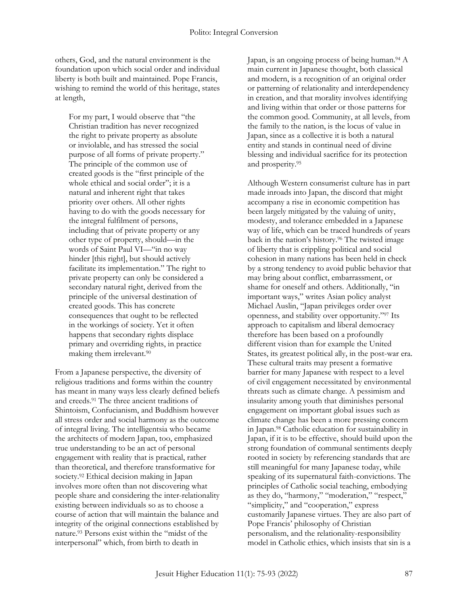others, God, and the natural environment is the foundation upon which social order and individual liberty is both built and maintained. Pope Francis, wishing to remind the world of this heritage, states at length,

For my part, I would observe that "the Christian tradition has never recognized the right to private property as absolute or inviolable, and has stressed the social purpose of all forms of private property." The principle of the common use of created goods is the "first principle of the whole ethical and social order"; it is a natural and inherent right that takes priority over others. All other rights having to do with the goods necessary for the integral fulfilment of persons, including that of private property or any other type of property, should—in the words of Saint Paul VI—"in no way hinder [this right], but should actively facilitate its implementation." The right to private property can only be considered a secondary natural right, derived from the principle of the universal destination of created goods. This has concrete consequences that ought to be reflected in the workings of society. Yet it often happens that secondary rights displace primary and overriding rights, in practice making them irrelevant.<sup>90</sup>

From a Japanese perspective, the diversity of religious traditions and forms within the country has meant in many ways less clearly defined beliefs and creeds.<sup>91</sup> The three ancient traditions of Shintoism, Confucianism, and Buddhism however all stress order and social harmony as the outcome of integral living. The intelligentsia who became the architects of modern Japan, too, emphasized true understanding to be an act of personal engagement with reality that is practical, rather than theoretical, and therefore transformative for society.<sup>92</sup> Ethical decision making in Japan involves more often than not discovering what people share and considering the inter-relationality existing between individuals so as to choose a course of action that will maintain the balance and integrity of the original connections established by nature.<sup>93</sup> Persons exist within the "midst of the interpersonal" which, from birth to death in

Japan, is an ongoing process of being human.<sup>94</sup> A main current in Japanese thought, both classical and modern, is a recognition of an original order or patterning of relationality and interdependency in creation, and that morality involves identifying and living within that order or those patterns for the common good. Community, at all levels, from the family to the nation, is the locus of value in Japan, since as a collective it is both a natural entity and stands in continual need of divine blessing and individual sacrifice for its protection and prosperity.<sup>95</sup>

Although Western consumerist culture has in part made inroads into Japan, the discord that might accompany a rise in economic competition has been largely mitigated by the valuing of unity, modesty, and tolerance embedded in a Japanese way of life, which can be traced hundreds of years back in the nation's history.<sup>96</sup> The twisted image of liberty that is crippling political and social cohesion in many nations has been held in check by a strong tendency to avoid public behavior that may bring about conflict, embarrassment, or shame for oneself and others. Additionally, "in important ways," writes Asian policy analyst Michael Auslin, "Japan privileges order over openness, and stability over opportunity."<sup>97</sup> Its approach to capitalism and liberal democracy therefore has been based on a profoundly different vision than for example the United States, its greatest political ally, in the post-war era. These cultural traits may present a formative barrier for many Japanese with respect to a level of civil engagement necessitated by environmental threats such as climate change. A pessimism and insularity among youth that diminishes personal engagement on important global issues such as climate change has been a more pressing concern in Japan.<sup>98</sup> Catholic education for sustainability in Japan, if it is to be effective, should build upon the strong foundation of communal sentiments deeply rooted in society by referencing standards that are still meaningful for many Japanese today, while speaking of its supernatural faith-convictions. The principles of Catholic social teaching, embodying as they do, "harmony," "moderation," "respect," "simplicity," and "cooperation," express customarily Japanese virtues. They are also part of Pope Francis' philosophy of Christian personalism, and the relationality-responsibility model in Catholic ethics, which insists that sin is a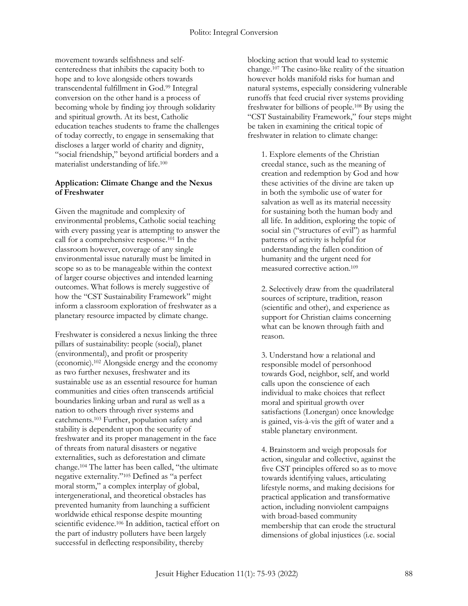movement towards selfishness and selfcenteredness that inhibits the capacity both to hope and to love alongside others towards transcendental fulfillment in God.<sup>99</sup> Integral conversion on the other hand is a process of becoming whole by finding joy through solidarity and spiritual growth. At its best, Catholic education teaches students to frame the challenges of today correctly, to engage in sensemaking that discloses a larger world of charity and dignity, "social friendship," beyond artificial borders and a materialist understanding of life.<sup>100</sup>

#### **Application: Climate Change and the Nexus of Freshwater**

Given the magnitude and complexity of environmental problems, Catholic social teaching with every passing year is attempting to answer the call for a comprehensive response.<sup>101</sup> In the classroom however, coverage of any single environmental issue naturally must be limited in scope so as to be manageable within the context of larger course objectives and intended learning outcomes. What follows is merely suggestive of how the "CST Sustainability Framework" might inform a classroom exploration of freshwater as a planetary resource impacted by climate change.

Freshwater is considered a nexus linking the three pillars of sustainability: people (social), planet (environmental), and profit or prosperity (economic).<sup>102</sup> Alongside energy and the economy as two further nexuses, freshwater and its sustainable use as an essential resource for human communities and cities often transcends artificial boundaries linking urban and rural as well as a nation to others through river systems and catchments.<sup>103</sup> Further, population safety and stability is dependent upon the security of freshwater and its proper management in the face of threats from natural disasters or negative externalities, such as deforestation and climate change.<sup>104</sup> The latter has been called, "the ultimate negative externality."<sup>105</sup> Defined as "a perfect moral storm," a complex interplay of global, intergenerational, and theoretical obstacles has prevented humanity from launching a sufficient worldwide ethical response despite mounting scientific evidence.<sup>106</sup> In addition, tactical effort on the part of industry polluters have been largely successful in deflecting responsibility, thereby

blocking action that would lead to systemic change.<sup>107</sup> The casino-like reality of the situation however holds manifold risks for human and natural systems, especially considering vulnerable runoffs that feed crucial river systems providing freshwater for billions of people.<sup>108</sup> By using the "CST Sustainability Framework," four steps might be taken in examining the critical topic of freshwater in relation to climate change:

1. Explore elements of the Christian creedal stance, such as the meaning of creation and redemption by God and how these activities of the divine are taken up in both the symbolic use of water for salvation as well as its material necessity for sustaining both the human body and all life. In addition, exploring the topic of social sin ("structures of evil") as harmful patterns of activity is helpful for understanding the fallen condition of humanity and the urgent need for measured corrective action.<sup>109</sup>

2. Selectively draw from the quadrilateral sources of scripture, tradition, reason (scientific and other), and experience as support for Christian claims concerning what can be known through faith and reason.

3. Understand how a relational and responsible model of personhood towards God, neighbor, self, and world calls upon the conscience of each individual to make choices that reflect moral and spiritual growth over satisfactions (Lonergan) once knowledge is gained, vis-à-vis the gift of water and a stable planetary environment.

4. Brainstorm and weigh proposals for action, singular and collective, against the five CST principles offered so as to move towards identifying values, articulating lifestyle norms, and making decisions for practical application and transformative action, including nonviolent campaigns with broad-based community membership that can erode the structural dimensions of global injustices (i.e. social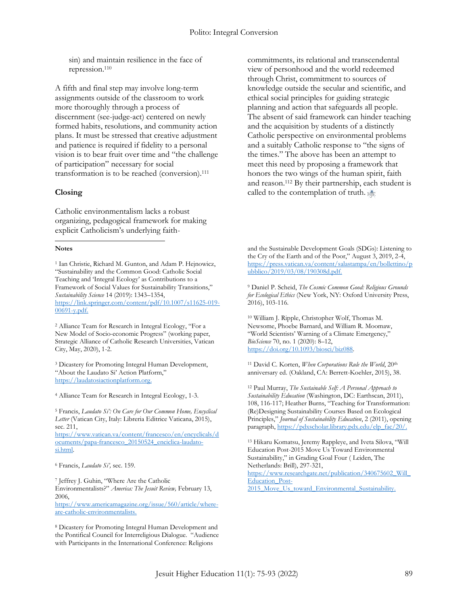sin) and maintain resilience in the face of repression.<sup>110</sup>

A fifth and final step may involve long-term assignments outside of the classroom to work more thoroughly through a process of discernment (see-judge-act) centered on newly formed habits, resolutions, and community action plans. It must be stressed that creative adjustment and patience is required if fidelity to a personal vision is to bear fruit over time and "the challenge of participation" necessary for social transformation is to be reached (conversion).<sup>111</sup>

#### **Closing**

Catholic environmentalism lacks a robust organizing, pedagogical framework for making explicit Catholicism's underlying faith-

#### **Notes**  $\overline{a}$

<sup>1</sup> Ian Christie, Richard M. Gunton, and Adam P. Hejnowicz, "Sustainability and the Common Good: Catholic Social Teaching and 'Integral Ecology' as Contributions to a Framework of Social Values for Sustainability Transitions," *Sustainability Science* 14 (2019): 1343–1354, [https://link.springer.com/content/pdf/10.1007/s11625-019-](https://link.springer.com/content/pdf/10.1007/s11625-019-00691-y.pdf) [00691-y.pdf.](https://link.springer.com/content/pdf/10.1007/s11625-019-00691-y.pdf)

<sup>2</sup> Alliance Team for Research in Integral Ecology, "For a New Model of Socio-economic Progress" (working paper, Strategic Alliance of Catholic Research Universities, Vatican City, May, 2020), 1-2.

<sup>3</sup> Dicastery for Promoting Integral Human Development, "About the Laudato Si' Action Platform," [https://laudatosiactionplatform.org.](https://laudatosiactionplatform.org/)

<sup>4</sup> Alliance Team for Research in Integral Ecology, 1-3.

<sup>5</sup> Francis, *Laudato Si': On Care for Our Common Home, Encyclical Letter* (Vatican City, Italy: Libreria Editrice Vaticana, 2015), sec. 211,

[https://www.vatican.va/content/francesco/en/encyclicals/d](https://www.vatican.va/content/francesco/en/encyclicals/documents/papa-francesco_20150524_enciclica-laudato-si.html) [ocuments/papa-francesco\\_20150524\\_enciclica-laudato](https://www.vatican.va/content/francesco/en/encyclicals/documents/papa-francesco_20150524_enciclica-laudato-si.html)[si.html.](https://www.vatican.va/content/francesco/en/encyclicals/documents/papa-francesco_20150524_enciclica-laudato-si.html)

<sup>6</sup> Francis, *Laudato Si',* sec. 159.

<sup>7</sup> Jeffrey J. Guhin, "Where Are the Catholic Environmentalists?" *America: The Jesuit Review,* February 13, 2006,

[https://www.americamagazine.org/issue/560/article/where](https://www.americamagazine.org/issue/560/article/where-are-catholic-environmentalists)[are-catholic-environmentalists.](https://www.americamagazine.org/issue/560/article/where-are-catholic-environmentalists)

<sup>8</sup> Dicastery for Promoting Integral Human Development and the Pontifical Council for Interreligious Dialogue. "Audience with Participants in the International Conference: Religions

commitments, its relational and transcendental view of personhood and the world redeemed through Christ, commitment to sources of knowledge outside the secular and scientific, and ethical social principles for guiding strategic planning and action that safeguards all people. The absent of said framework can hinder teaching and the acquisition by students of a distinctly Catholic perspective on environmental problems and a suitably Catholic response to "the signs of the times." The above has been an attempt to meet this need by proposing a framework that honors the two wings of the human spirit, faith and reason.<sup>112</sup> By their partnership, each student is called to the contemplation of truth.

and the Sustainable Development Goals (SDGs): Listening to the Cry of the Earth and of the Poor," August 3, 2019, 2-4, [https://press.vatican.va/content/salastampa/en/bollettino/p](https://press.vatican.va/content/salastampa/en/bollettino/pubblico/2019/03/08/190308d.pdf) [ubblico/2019/03/08/190308d.pdf.](https://press.vatican.va/content/salastampa/en/bollettino/pubblico/2019/03/08/190308d.pdf)

<sup>9</sup> Daniel P. Scheid, *The Cosmic Common Good: Religious Grounds for Ecological Ethics* (New York, NY: Oxford University Press, 2016), 103-116.

<sup>10</sup> William J. Ripple, Christopher Wolf, Thomas M. Newsome, Phoebe Barnard, and William R. Moomaw, "World Scientists' Warning of a Climate Emergency," *BioScience* 70, no. 1 (2020): 8–12, [https://doi.org/10.1093/biosci/biz088.](https://doi.org/10.1093/biosci/biz088) 

<sup>11</sup> David C. Korten, *When Corporations Rule the World*, 20th anniversary ed. (Oakland, CA: Berrett-Koehler, 2015), 38.

<sup>12</sup> Paul Murray, *The Sustainable Self: A Personal Approach to Sustainability Education* (Washington, DC: Earthscan, 2011), 108, 116-117; Heather Burns, "Teaching for Transformation: (Re)Designing Sustainability Courses Based on Ecological Principles," *Journal of Sustainability Education*, 2 (2011), opening paragraph, [https://pdxscholar.library.pdx.edu/elp\\_fac/20/.](https://pdxscholar.library.pdx.edu/elp_fac/20/)

<sup>13</sup> Hikaru Komatsu, Jeremy Rappleye, and Iveta Silova, "Will Education Post-2015 Move Us Toward Environmental Sustainability," in Grading Goal Four ( Leiden, The Netherlands: Brill), 297-321, [https://www.researchgate.net/publication/340675602\\_Will\\_](https://www.researchgate.net/publication/340675602_Will_Education_Post-2015_Move_Us_toward_Environmental_Sustainability) [Education\\_Post-](https://www.researchgate.net/publication/340675602_Will_Education_Post-2015_Move_Us_toward_Environmental_Sustainability)

2015 Move Us toward Environmental Sustainability.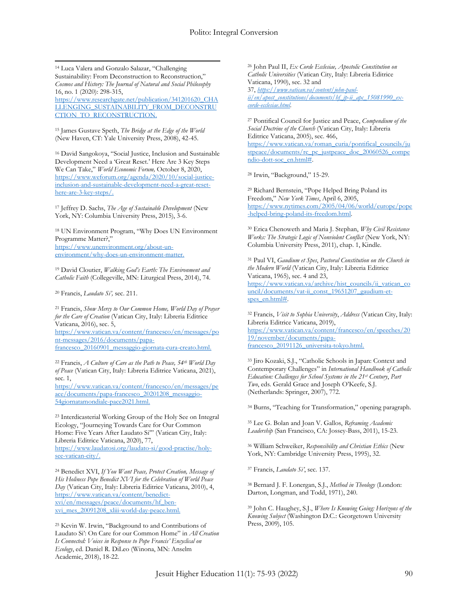$\overline{a}$ <sup>14</sup> Luca Valera and Gonzalo Salazar, "Challenging Sustainability: From Deconstruction to Reconstruction," *Cosmos and History: The Journal of Natural and Social Philosophy* 16, no. 1 (2020): 298-315, [https://www.researchgate.net/publication/341201620\\_CHA](https://www.researchgate.net/publication/341201620_CHALLENGING_SUSTAINABILITY_FROM_DECONSTRUCTION_TO_RECONSTRUCTION) [LLENGING\\_SUSTAINABILITY\\_FROM\\_DECONSTRU](https://www.researchgate.net/publication/341201620_CHALLENGING_SUSTAINABILITY_FROM_DECONSTRUCTION_TO_RECONSTRUCTION)

<sup>15</sup> James Gustave Speth, *The Bridge at the Edge of the World* (New Haven, CT: Yale University Press, 2008), 42-45.

[CTION\\_TO\\_RECONSTRUCTION.](https://www.researchgate.net/publication/341201620_CHALLENGING_SUSTAINABILITY_FROM_DECONSTRUCTION_TO_RECONSTRUCTION)

<sup>16</sup> David Sangokoya, "Social Justice, Inclusion and Sustainable Development Need a 'Great Reset.' Here Are 3 Key Steps We Can Take," *World Economic Forum,* October 8, 2020, [https://www.weforum.org/agenda/2020/10/social-justice](https://www.weforum.org/agenda/2020/10/social-justice-inclusion-and-sustainable-development-need-a-great-reset-here-are-3-key-steps/)[inclusion-and-sustainable-development-need-a-great-reset](https://www.weforum.org/agenda/2020/10/social-justice-inclusion-and-sustainable-development-need-a-great-reset-here-are-3-key-steps/)[here-are-3-key-steps/.](https://www.weforum.org/agenda/2020/10/social-justice-inclusion-and-sustainable-development-need-a-great-reset-here-are-3-key-steps/)

<sup>17</sup> Jeffrey D. Sachs, *The Age of Sustainable Development* (New York, NY: Columbia University Press, 2015), 3-6.

<sup>18</sup> UN Environment Program, "Why Does UN Environment Programme Matter?," [https://www.unenvironment.org/about-un](https://www.unenvironment.org/about-un-environment/why-does-un-environment-matter)[environment/why-does-un-environment-matter.](https://www.unenvironment.org/about-un-environment/why-does-un-environment-matter)

<sup>19</sup> David Cloutier, *Walking God's Earth: The Environment and Catholic Faith* (Collegeville, MN: Liturgical Press, 2014), 74.

<sup>20</sup> Francis, *Laudato Si',* sec. 211.

<sup>21</sup> Francis, *Show Mercy to Our Common Home, World Day of Prayer for the Care of Creation* (Vatican City, Italy: Libreria Editrice Vaticana, 2016), sec. 5, [https://www.vatican.va/content/francesco/en/messages/po](https://www.vatican.va/content/francesco/en/messages/pont-messages/2016/documents/papa-francesco_20160901_messaggio-giornata-cura-creato.html) [nt-messages/2016/documents/papa](https://www.vatican.va/content/francesco/en/messages/pont-messages/2016/documents/papa-francesco_20160901_messaggio-giornata-cura-creato.html)[francesco\\_20160901\\_messaggio-giornata-cura-creato.html.](https://www.vatican.va/content/francesco/en/messages/pont-messages/2016/documents/papa-francesco_20160901_messaggio-giornata-cura-creato.html)

<sup>22</sup> Francis, *A Culture of Care as the Path to Peace, 54th World Day of Peace* (Vatican City, Italy: Libreria Editrice Vaticana, 2021), sec. 1,

[https://www.vatican.va/content/francesco/en/messages/pe](https://www.vatican.va/content/francesco/en/messages/peace/documents/papa-francesco_20201208_messaggio-54giornatamondiale-pace2021.html) [ace/documents/papa-francesco\\_20201208\\_messaggio-](https://www.vatican.va/content/francesco/en/messages/peace/documents/papa-francesco_20201208_messaggio-54giornatamondiale-pace2021.html)[54giornatamondiale-pace2021.html.](https://www.vatican.va/content/francesco/en/messages/peace/documents/papa-francesco_20201208_messaggio-54giornatamondiale-pace2021.html)

<sup>23</sup> Interdicasterial Working Group of the Holy See on Integral Ecology, "Journeying Towards Care for Our Common Home: Five Years After Laudato Si"' (Vatican City, Italy: Libreria Editrice Vaticana, 2020), 77, [https://www.laudatosi.org/laudato-si/good-practise/holy](https://www.laudatosi.org/laudato-si/good-practise/holy-see-vatican-city/)[see-vatican-city/.](https://www.laudatosi.org/laudato-si/good-practise/holy-see-vatican-city/)

<sup>24</sup> Benedict XVI, *If You Want Peace, Protect Creation, Message of His Holiness Pope Benedict XVI for the Celebration of World Peace Day* (Vatican City, Italy: Libreria Editrice Vaticana, 2010), 4, [https://www.vatican.va/content/benedict](https://www.vatican.va/content/benedict-xvi/en/messages/peace/documents/hf_ben-xvi_mes_20091208_xliii-world-day-peace.html)[xvi/en/messages/peace/documents/hf\\_ben](https://www.vatican.va/content/benedict-xvi/en/messages/peace/documents/hf_ben-xvi_mes_20091208_xliii-world-day-peace.html)[xvi\\_mes\\_20091208\\_xliii-world-day-peace.html.](https://www.vatican.va/content/benedict-xvi/en/messages/peace/documents/hf_ben-xvi_mes_20091208_xliii-world-day-peace.html)

<sup>25</sup> Kevin W. Irwin, "Background to and Contributions of Laudato Si': On Care for our Common Home" in *All Creation Is Connected: Voices in Response to Pope Francis' Encyclical on Ecology*, ed. Daniel R. DiLeo (Winona, MN: Anselm Academic, 2018), 18-22.

<sup>26</sup> John Paul II, *Ex Corde Ecclesiae, Apostolic Constitution on Catholic Universities* (Vatican City, Italy: Libreria Editrice Vaticana, 1990), sec. 32 and 37, *[https://www.vatican.va/content/john-paul-](https://www.vatican.va/content/john-paul-ii/en/apost_constitutions/documents/hf_jp-ii_apc_15081990_ex-corde-ecclesiae.html)*

 $ii/en/qpost$  constitutions/documents/hf\_jp-ii\_apc\_15081990\_ex*[corde-ecclesiae.html](https://www.vatican.va/content/john-paul-ii/en/apost_constitutions/documents/hf_jp-ii_apc_15081990_ex-corde-ecclesiae.html)*.

<sup>27</sup> Pontifical Council for Justice and Peace, *Compendium of the Social Doctrine of the Church* (Vatican City, Italy: Libreria Editrice Vaticana, 2005), sec. 466, [https://www.vatican.va/roman\\_curia/pontifical\\_councils/ju](https://www.vatican.va/roman_curia/pontifical_councils/justpeace/documents/rc_pc_justpeace_doc_20060526_compendio-dott-soc_en.html) [stpeace/documents/rc\\_pc\\_justpeace\\_doc\\_20060526\\_compe](https://www.vatican.va/roman_curia/pontifical_councils/justpeace/documents/rc_pc_justpeace_doc_20060526_compendio-dott-soc_en.html) [ndio-dott-soc\\_en.html#.](https://www.vatican.va/roman_curia/pontifical_councils/justpeace/documents/rc_pc_justpeace_doc_20060526_compendio-dott-soc_en.html)

<sup>28</sup> Irwin, "Background," 15-29.

<sup>29</sup> Richard Bernstein, "Pope Helped Bring Poland its Freedom," *New York Times*, April 6, 2005, [https://www.nytimes.com/2005/04/06/world/europe/pope](https://www.nytimes.com/2005/04/06/world/europe/pope-helped-bring-poland-its-freedom.html) [-helped-bring-poland-its-freedom.html.](https://www.nytimes.com/2005/04/06/world/europe/pope-helped-bring-poland-its-freedom.html)

<sup>30</sup> Erica Chenoweth and Maria J. Stephan, *Why Civil Resistance Works: The Strategic Logic of Nonviolent Conflict* (New York, NY: Columbia University Press, 2011), chap. 1, Kindle.

<sup>31</sup> Paul VI, *Gaudium et Spes*, *Pastoral Constitution on the Church in the Modern World* (Vatican City, Italy: Libreria Editrice Vaticana, 1965), sec. 4 and 23, [https://www.vatican.va/archive/hist\\_councils/ii\\_vatican\\_co](https://www.vatican.va/archive/hist_councils/ii_vatican_council/documents/vat-ii_const_19651207_gaudium-et-spes_en.html) [uncil/documents/vat-ii\\_const\\_19651207\\_gaudium-et](https://www.vatican.va/archive/hist_councils/ii_vatican_council/documents/vat-ii_const_19651207_gaudium-et-spes_en.html)[spes\\_en.html#.](https://www.vatican.va/archive/hist_councils/ii_vatican_council/documents/vat-ii_const_19651207_gaudium-et-spes_en.html)

<sup>32</sup> Francis, *Visit to Sophia University*, *Address* (Vatican City, Italy: Libreria Editrice Vaticana, 2019), [https://www.vatican.va/content/francesco/en/speeches/20](https://www.vatican.va/content/francesco/en/speeches/2019/november/documents/papa-francesco_20191126_universita-tokyo.html) [19/november/documents/papa](https://www.vatican.va/content/francesco/en/speeches/2019/november/documents/papa-francesco_20191126_universita-tokyo.html)[francesco\\_20191126\\_universita-tokyo.html.](https://www.vatican.va/content/francesco/en/speeches/2019/november/documents/papa-francesco_20191126_universita-tokyo.html)

<sup>33</sup> Jiro Kozaki, S.J., "Catholic Schools in Japan: Context and Contemporary Challenges" in *International Handbook of Catholic Education: Challenges for School Systems in the 21st Century*, *Part Two*, eds. Gerald Grace and Joseph O'Keefe, S.J. (Netherlands: Springer, 2007), 772.

<sup>34</sup> Burns, "Teaching for Transformation," opening paragraph.

<sup>35</sup> Lee G. Bolan and Joan V. Gallos, *Reframing Academic Leadership* (San Francisco, CA: Jossey-Bass, 2011), 15-23.

<sup>36</sup> William Schweiker, *Responsibility and Christian Ethics* (New York, NY: Cambridge University Press, 1995), 32.

<sup>37</sup> Francis, *Laudato Si'*, sec. 137.

<sup>38</sup> Bernard J. F. Lonergan, S.J., *Method in Theology* (London: Darton, Longman, and Todd, 1971), 240.

<sup>39</sup> John C. Haughey, S.J., *Where Is Knowing Going: Horizons of the Knowing Subject* (Washington D.C.: Georgetown University Press, 2009), 105.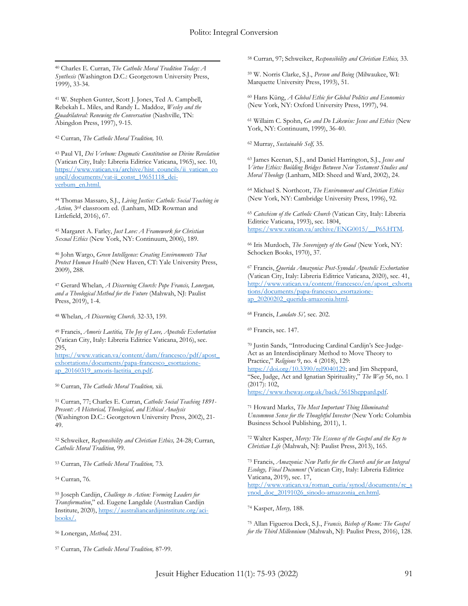$\overline{a}$ <sup>40</sup> Charles E. Curran, *The Catholic Moral Tradition Today: A Synthesis* (Washington D.C.: Georgetown University Press, 1999), 33-34.

<sup>41</sup> W. Stephen Gunter, Scott J. Jones, Ted A. Campbell, Rebekah L. Miles, and Randy L. Maddoz, *Wesley and the Quadrilateral: Renewing the Conversation* (Nashville, TN: Abingdon Press, 1997), 9-15.

<sup>42</sup> Curran, *The Catholic Moral Tradition,* 10*.*

<sup>43</sup> Paul VI, *Dei Verbum: Dogmatic Constitution on Divine Revelation* (Vatican City, Italy: Libreria Editrice Vaticana, 1965), sec. 10, [https://www.vatican.va/archive/hist\\_councils/ii\\_vatican\\_co](https://www.vatican.va/archive/hist_councils/ii_vatican_council/documents/vat-ii_const_19651118_dei-verbum_en.html) [uncil/documents/vat-ii\\_const\\_19651118\\_dei](https://www.vatican.va/archive/hist_councils/ii_vatican_council/documents/vat-ii_const_19651118_dei-verbum_en.html)[verbum\\_en.html.](https://www.vatican.va/archive/hist_councils/ii_vatican_council/documents/vat-ii_const_19651118_dei-verbum_en.html)

<sup>44</sup> Thomas Massaro, S.J., *Living Justice: Catholic Social Teaching in Action,* 3rd classroom ed. (Lanham, MD: Rowman and Littlefield, 2016), 67.

<sup>45</sup> Margaret A. Farley, *Just Love: A Framework for Christian Sexual Ethics* (New York, NY: Continuum, 2006), 189.

<sup>46</sup> John Wargo, *Green Intelligence: Creating Environments That Protect Human Health* (New Haven, CT: Yale University Press, 2009), 288.

<sup>47</sup> Gerard Whelan, *A Discerning Church: Pope Francis, Lonergan, and a Theological Method for the Future* (Mahwah, NJ: Paulist Press, 2019), 1-4.

<sup>48</sup> Whelan, *A Discerning Church,* 32-33, 159*.*

<sup>49</sup> Francis, *Amoris Laetitia, The Joy of Love, Apostolic Exhortation* (Vatican City, Italy: Libreria Editrice Vaticana, 2016), sec. 295,

[https://www.vatican.va/content/dam/francesco/pdf/apost\\_](https://www.vatican.va/content/dam/francesco/pdf/apost_exhortations/documents/papa-francesco_esortazione-ap_20160319_amoris-laetitia_en.pdf) [exhortations/documents/papa-francesco\\_esortazione](https://www.vatican.va/content/dam/francesco/pdf/apost_exhortations/documents/papa-francesco_esortazione-ap_20160319_amoris-laetitia_en.pdf)[ap\\_20160319\\_amoris-laetitia\\_en.pdf.](https://www.vatican.va/content/dam/francesco/pdf/apost_exhortations/documents/papa-francesco_esortazione-ap_20160319_amoris-laetitia_en.pdf)

<sup>50</sup> Curran, *The Catholic Moral Tradition,* xii*.*

<sup>51</sup> Curran, 77; Charles E. Curran, *Catholic Social Teaching 1891- Present: A Historical, Theological, and Ethical Analysis* (Washington D.C.: Georgetown University Press, 2002), 21- 49.

<sup>52</sup> Schweiker, *Responsibility and Christian Ethics,* 24-28; Curran, *Catholic Moral Tradition,* 99.

<sup>53</sup> Curran, *The Catholic Moral Tradition,* 73.

<sup>54</sup> Curran, 76*.*

<sup>55</sup> Joseph Cardijn, *Challenge to Action: Forming Leaders for Transformation*," ed. Eugene Langdale (Australian Cardijn Institute, 2020), [https://australiancardijninstitute.org/aci](https://australiancardijninstitute.org/aci-books/)[books/.](https://australiancardijninstitute.org/aci-books/)

<sup>56</sup> Lonergan, *Method,* 231.

<sup>57</sup> Curran, *The Catholic Moral Tradition,* 87-99*.*

<sup>58</sup> Curran, 97; Schweiker, *Responsibility and Christian Ethics,* 33.

<sup>59</sup> W. Norris Clarke, S.J., *Person and Being* (Milwaukee, WI: Marquette University Press, 1993), 51.

<sup>60</sup> Hans Küng, *A Global Ethic for Global Politics and Economics* (New York, NY: Oxford University Press, 1997), 94.

<sup>61</sup> Willaim C. Spohn, *Go and Do Likewise: Jesus and Ethics* (New York, NY: Continuum, 1999), 36-40.

<sup>62</sup> Murray, *Sustainable Self,* 35*.*

<sup>63</sup> James Keenan, S.J., and Daniel Harrington, S.J., *Jesus and Virtue Ethics: Building Bridges Between New Testament Studies and Moral Theology* (Lanham, MD: Sheed and Ward, 2002), 24.

<sup>64</sup> Michael S. Northcott, *The Environment and Christian Ethics* (New York, NY: Cambridge University Press, 1996), 92.

<sup>65</sup> *Catechism of the Catholic Church* (Vatican City, Italy: Libreria Editrice Vaticana, 1993), sec. 1804, [https://www.vatican.va/archive/ENG0015/\\_\\_P65.HTM.](https://www.vatican.va/archive/ENG0015/__P65.HTM)

<sup>66</sup> Iris Murdoch, *The Sovereignty of the Good* (New York, NY: Schocken Books, 1970), 37.

<sup>67</sup> Francis, *Querida Amazonia: Post-Synodal Apostolic Exhortation* (Vatican City, Italy: Libreria Editrice Vaticana, 2020), sec. 41, [http://www.vatican.va/content/francesco/en/apost\\_exhorta](http://www.vatican.va/content/francesco/en/apost_exhortations/documents/papa-francesco_esortazione-ap_20200202_querida-amazonia.html) [tions/documents/papa-francesco\\_esortazione](http://www.vatican.va/content/francesco/en/apost_exhortations/documents/papa-francesco_esortazione-ap_20200202_querida-amazonia.html)[ap\\_20200202\\_querida-amazonia.html.](http://www.vatican.va/content/francesco/en/apost_exhortations/documents/papa-francesco_esortazione-ap_20200202_querida-amazonia.html)

<sup>68</sup> Francis, *Laudato Si',* sec. 202.

<sup>69</sup> Francis, sec. 147.

<sup>70</sup> Justin Sands, "Introducing Cardinal Cardijn's See-Judge-Act as an Interdisciplinary Method to Move Theory to Practice," *Religions* 9, no. 4 (2018), 129: [https://doi.org/10.3390/rel9040129;](https://doi.org/10.3390/rel9040129) and Jim Sheppard, "See, Judge, Act and Ignatian Spirituality," *The Way* 56, no. 1 (2017): 102, [https://www.theway.org.uk/back/561Sheppard.pdf.](https://www.theway.org.uk/back/561Sheppard.pdf)

<sup>71</sup> Howard Marks, *The Most Important Thing Illuminated:* 

*Uncommon Sense for the Thoughtful Investor* (New York: Columbia Business School Publishing, 2011), 1.

<sup>72</sup> Walter Kasper, *Mercy: The Essence of the Gospel and the Key to Christian Life* (Mahwah, NJ: Paulist Press, 2013), 165.

<sup>73</sup> Francis, *Amazonia: New Paths for the Church and for an Integral Ecology, Final Document* (Vatican City, Italy: Libreria Editrice Vaticana, 2019), sec. 17, [http://www.vatican.va/roman\\_curia/synod/documents/rc\\_s](http://www.vatican.va/roman_curia/synod/documents/rc_synod_doc_20191026_sinodo-amazzonia_en.html) ynod\_doc\_20191026\_sinodo-amazzonia\_en.html.

<sup>74</sup> Kasper, *Mercy,* 188.

<sup>75</sup> Allan Figueroa Deck, S.J., *Francis, Bishop of Rome: The Gospel for the Third Millennium* (Mahwah, NJ: Paulist Press, 2016), 128.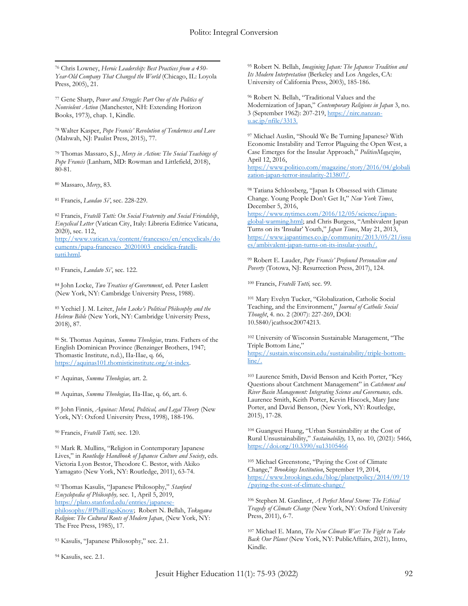$\overline{a}$ <sup>76</sup> Chris Lowney, *Heroic Leadership: Best Practices from a 450- Year-Old Company That Changed the World* (Chicago, IL: Loyola Press, 2005), 21.

<sup>77</sup> Gene Sharp, *Power and Struggle: Part One of the Politics of Nonviolent Action* (Manchester, NH: Extending Horizon Books, 1973), chap. 1, Kindle.

<sup>78</sup> Walter Kasper, *Pope Francis' Revolution of Tenderness and Love* (Mahwah, NJ: Paulist Press, 2015), 77.

<sup>79</sup> Thomas Massaro, S.J., *Mercy in Action: The Social Teachings of Pope Francis* (Lanham, MD: Rowman and Littlefield, 2018), 80-81.

<sup>80</sup> Massaro, *Mercy*, 83.

<sup>81</sup> Francis, *Laudao Si'*, sec. 228-229.

<sup>82</sup> Francis, *Fratelli Tutti: On Social Fraternity and Social Friendship*, *Encyclical Letter* (Vatican City, Italy: Libreria Editrice Vaticana, 2020), sec. 112,

[http://www.vatican.va/content/francesco/en/encyclicals/do](http://www.vatican.va/content/francesco/en/encyclicals/documents/papa-francesco_20201003_enciclica-fratelli-tutti.html) [cuments/papa-francesco\\_20201003\\_enciclica-fratelli](http://www.vatican.va/content/francesco/en/encyclicals/documents/papa-francesco_20201003_enciclica-fratelli-tutti.html)[tutti.html.](http://www.vatican.va/content/francesco/en/encyclicals/documents/papa-francesco_20201003_enciclica-fratelli-tutti.html)

<sup>83</sup> Francis, *Laudato Si'*, sec. 122.

<sup>84</sup> John Locke, *Two Treatises of Government*, ed. Peter Laslett (New York, NY: Cambridge University Press, 1988).

<sup>85</sup> Yechiel J. M. Leiter, *John Locke's Political Philosophy and the Hebrew Bible* (New York, NY: Cambridge University Press, 2018), 87.

<sup>86</sup> St. Thomas Aquinas*, Summa Theologiae*, trans. Fathers of the English Dominican Province (Benzinger Brothers, 1947; Thomastic Institute, n.d.), IIa-IIae, q. 66, [https://aquinas101.thomisticinstitute.org/st-index.](https://aquinas101.thomisticinstitute.org/st-index)

<sup>87</sup> Aquinas, *Summa Theologiae,* art. 2.

<sup>88</sup> Aquinas, *Summa Theologiae,* IIa-IIae, q. 66, art. 6.

<sup>89</sup> John Finnis, *Aquinas: Moral, Political, and Legal Theory* (New York, NY: Oxford University Press, 1998), 188-196.

<sup>90</sup> Francis, *Fratelli Tutti,* sec. 120.

<sup>91</sup> Mark R. Mullins, "Religion in Contemporary Japanese Lives," in *Routledge Handbook of Japanese Culture and Society*, eds. Victoria Lyon Bestor, Theodore C. Bestor, with Akiko Yamagato (New York, NY: Routledge, 2011), 63-74.

<sup>92</sup> Thomas Kasulis, "Japanese Philosophy," *Stanford Encyclopedia of Philosophy,* sec. 1, April 5, 2019, [https://plato.stanford.edu/entries/japanese](https://plato.stanford.edu/entries/japanese-philosophy/#PhilEngaKnow)[philosophy/#PhilEngaKnow;](https://plato.stanford.edu/entries/japanese-philosophy/#PhilEngaKnow) Robert N. Bellah, *Tokugawa Religion: The Cultural Roots of Modern Japan*, (New York, NY: The Free Press, 1985), 17.

<sup>93</sup> Kasulis, "Japanese Philosophy," sec. 2.1.

<sup>94</sup> Kasulis, sec. 2.1.

<sup>95</sup> Robert N. Bellah, *Imagining Japan: The Japanese Tradition and Its Modern Interpretation* (Berkeley and Los Angeles, CA: University of California Press, 2003), 185-186.

<sup>96</sup> Robert N. Bellah, "Traditional Values and the Modernization of Japan," *Contemporary Religions in Japan* 3, no. 3 (September 1962): 207-219[, https://nirc.nanzan](https://nirc.nanzan-u.ac.jp/nfile/3313) $u.ac.jp/nfile/3313.$ 

<sup>97</sup> Michael Auslin, "Should We Be Turning Japanese? With Economic Instability and Terror Plaguing the Open West, a Case Emerges for the Insular Approach," *PoliticoMagazine*, April 12, 2016, [https://www.politico.com/magazine/story/2016/04/globali](https://www.politico.com/magazine/story/2016/04/globalization-japan-terror-insularity-213807/)

[zation-japan-terror-insularity-213807/.](https://www.politico.com/magazine/story/2016/04/globalization-japan-terror-insularity-213807/)

<sup>98</sup> Tatiana Schlossberg, "Japan Is Obsessed with Climate Change. Young People Don't Get It," *New York Times*, December 5, 2016,

[https://www.nytimes.com/2016/12/05/science/japan](https://www.nytimes.com/2016/12/05/science/japan-global-warming.html)[global-warming.html](https://www.nytimes.com/2016/12/05/science/japan-global-warming.html); and Chris Burgess, "Ambivalent Japan Turns on its 'Insular' Youth," *Japan Times*, May 21, 2013, [https://www.japantimes.co.jp/community/2013/05/21/issu](https://www.japantimes.co.jp/community/2013/05/21/issues/ambivalent-japan-turns-on-its-insular-youth/) [es/ambivalent-japan-turns-on-its-insular-youth/.](https://www.japantimes.co.jp/community/2013/05/21/issues/ambivalent-japan-turns-on-its-insular-youth/)

<sup>99</sup> Robert E. Lauder, *Pope Francis' Profound Personalism and Poverty* (Totowa, NJ: Resurrection Press, 2017), 124.

<sup>100</sup> Francis, *Fratelli Tutti,* sec. 99*.*

<sup>101</sup> Mary Evelyn Tucker, "Globalization, Catholic Social Teaching, and the Environment," *Journal of Catholic Social Thought*, 4. no. 2 (2007): 227-269, DOI: 10.5840/jcathsoc20074213.

<sup>102</sup> University of Wisconsin Sustainable Management, "The Triple Bottom Line," [https://sustain.wisconsin.edu/sustainability/triple-bottom](https://sustain.wisconsin.edu/sustainability/triple-bottom-line/)[line/.](https://sustain.wisconsin.edu/sustainability/triple-bottom-line/)

<sup>103</sup> Laurence Smith, David Benson and Keith Porter, "Key Questions about Catchment Management" in *Catchment and River Basin Management: Integrating Science and Governance,* eds. Laurence Smith, Keith Porter, Kevin Hiscock, Mary Jane Porter, and David Benson, (New York, NY: Routledge, 2015), 17-28.

<sup>104</sup> Guangwei Huang, "Urban Sustainability at the Cost of Rural Unsustainability," *Sustainability,* 13, no. 10, (2021): 5466, <https://doi.org/10.3390/su13105466>

<sup>105</sup> Michael Greenstone, "Paying the Cost of Climate Change," *Brookings Institution*, September 19, 2014, [https://www.brookings.edu/blog/planetpolicy/2014/09/19](https://www.brookings.edu/blog/planetpolicy/2014/09/19/paying-the-cost-of-climate-change/) [/paying-the-cost-of-climate-change/](https://www.brookings.edu/blog/planetpolicy/2014/09/19/paying-the-cost-of-climate-change/)

<sup>106</sup> Stephen M. Gardiner, *A Perfect Moral Storm: The Ethical Tragedy of Climate Change* (New York, NY: Oxford University Press, 2011), 6-7.

<sup>107</sup> Michael E. Mann, *The New Climate War: The Fight to Take Back Our Planet* (New York, NY: PublicAffairs, 2021), Intro, Kindle.